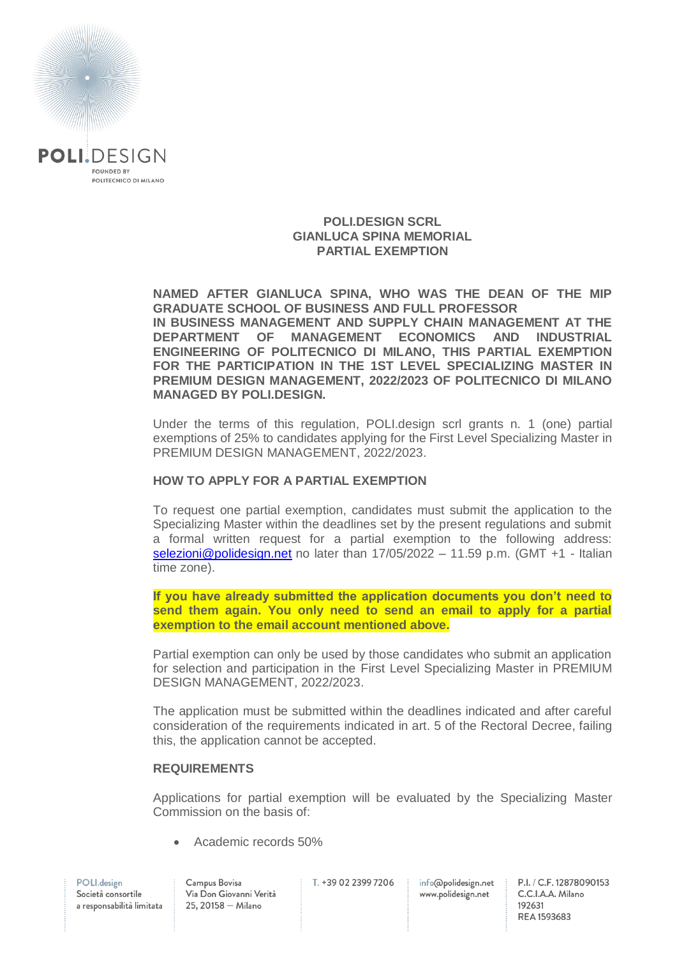

#### **POLI.DESIGN SCRL GIANLUCA SPINA MEMORIAL PARTIAL EXEMPTION**

**NAMED AFTER GIANLUCA SPINA, WHO WAS THE DEAN OF THE MIP GRADUATE SCHOOL OF BUSINESS AND FULL PROFESSOR IN BUSINESS MANAGEMENT AND SUPPLY CHAIN MANAGEMENT AT THE DEPARTMENT OF MANAGEMENT ECONOMICS AND INDUSTRIAL ENGINEERING OF POLITECNICO DI MILANO, THIS PARTIAL EXEMPTION FOR THE PARTICIPATION IN THE 1ST LEVEL SPECIALIZING MASTER IN PREMIUM DESIGN MANAGEMENT, 2022/2023 OF POLITECNICO DI MILANO MANAGED BY POLI.DESIGN.**

Under the terms of this regulation, POLI.design scrl grants n. 1 (one) partial exemptions of 25% to candidates applying for the First Level Specializing Master in PREMIUM DESIGN MANAGEMENT, 2022/2023.

## **HOW TO APPLY FOR A PARTIAL EXEMPTION**

To request one partial exemption, candidates must submit the application to the Specializing Master within the deadlines set by the present regulations and submit a formal written request for a partial exemption to the following address: [selezioni@polidesign.net](mailto:selezioni@polidesign.net) no later than 17/05/2022 – 11.59 p.m. (GMT +1 - Italian time zone).

**If you have already submitted the application documents you don't need to send them again. You only need to send an email to apply for a partial exemption to the email account mentioned above.**

Partial exemption can only be used by those candidates who submit an application for selection and participation in the First Level Specializing Master in PREMIUM DESIGN MANAGEMENT, 2022/2023.

The application must be submitted within the deadlines indicated and after careful consideration of the requirements indicated in art. 5 of the Rectoral Decree, failing this, the application cannot be accepted.

#### **REQUIREMENTS**

Applications for partial exemption will be evaluated by the Specializing Master Commission on the basis of:

Academic records 50%

T. +39 02 2399 7206

info@polidesign.net www.polidesign.net

P.I. / C.F. 12878090153 C.C.I.A.A. Milano 192631 REA 1593683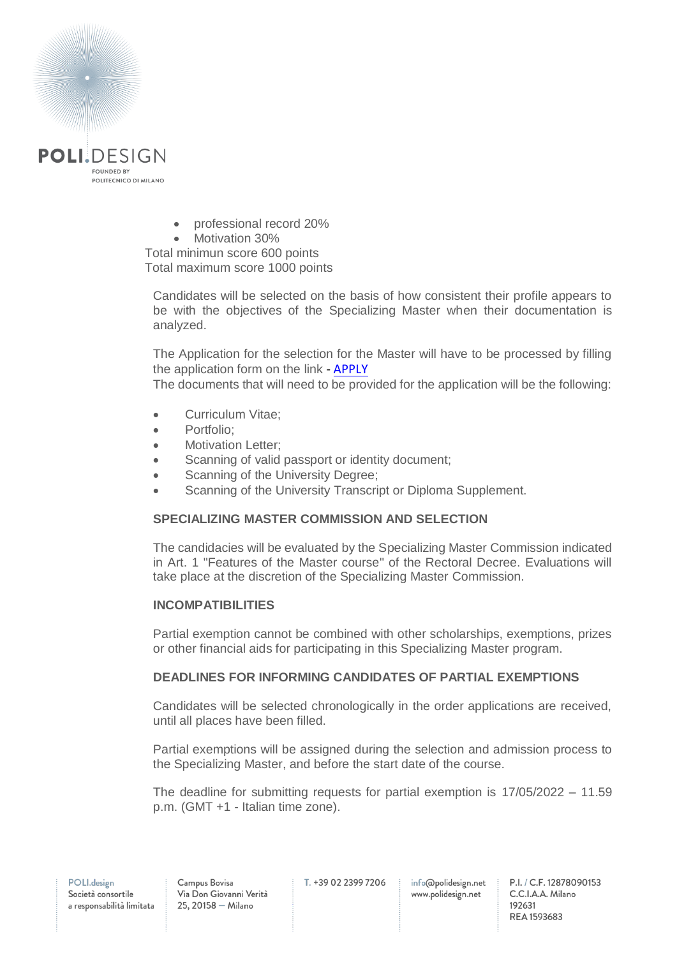

- professional record 20%
- Motivation 30%

Total minimun score 600 points Total maximum score 1000 points

Candidates will be selected on the basis of how consistent their profile appears to be with the objectives of the Specializing Master when their documentation is analyzed.

The Application for the selection for the Master will have to be processed by filling the application form on the link - **[APPLY](https://www.polidesign.net/it/member-login/?candidatura&redirect_to=https://www.polidesign.net/it/candidatura/?courseID=POLID_5fcbc4cfad9d4)** 

The documents that will need to be provided for the application will be the following:

- Curriculum Vitae;
- Portfolio:
- Motivation Letter:
- Scanning of valid passport or identity document;
- Scanning of the University Degree;
- Scanning of the University Transcript or Diploma Supplement.

## **SPECIALIZING MASTER COMMISSION AND SELECTION**

The candidacies will be evaluated by the Specializing Master Commission indicated in Art. 1 "Features of the Master course" of the Rectoral Decree. Evaluations will take place at the discretion of the Specializing Master Commission.

# **INCOMPATIBILITIES**

Partial exemption cannot be combined with other scholarships, exemptions, prizes or other financial aids for participating in this Specializing Master program.

# **DEADLINES FOR INFORMING CANDIDATES OF PARTIAL EXEMPTIONS**

Candidates will be selected chronologically in the order applications are received, until all places have been filled.

Partial exemptions will be assigned during the selection and admission process to the Specializing Master, and before the start date of the course.

The deadline for submitting requests for partial exemption is 17/05/2022 – 11.59 p.m. (GMT +1 - Italian time zone).

info@polidesign.net www.polidesign.net

P.I. / C.F. 12878090153 C.C.I.A.A. Milano 192631 REA 1593683